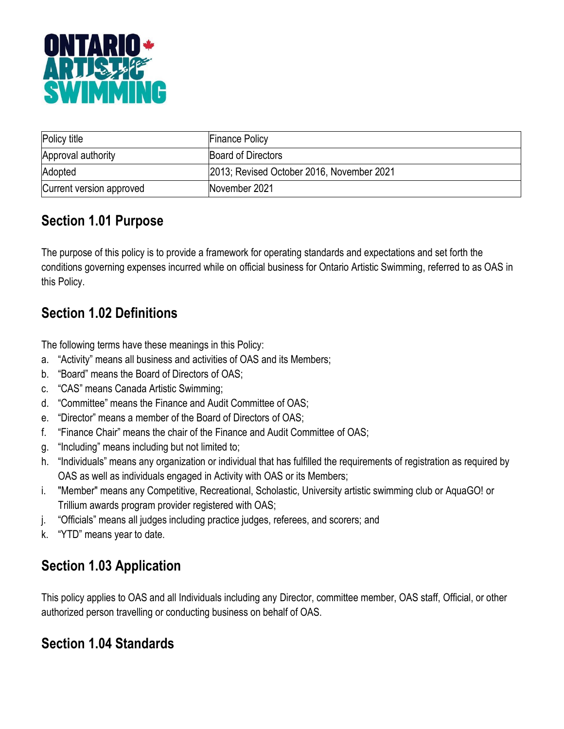

| Policy title             | <b>Finance Policy</b>                     |
|--------------------------|-------------------------------------------|
| Approval authority       | Board of Directors                        |
| Adopted                  | 2013; Revised October 2016, November 2021 |
| Current version approved | November 2021                             |

### **Section 1.01 Purpose**

The purpose of this policy is to provide a framework for operating standards and expectations and set forth the conditions governing expenses incurred while on official business for Ontario Artistic Swimming, referred to as OAS in this Policy.

#### **Section 1.02 Definitions**

The following terms have these meanings in this Policy:

- a. "Activity" means all business and activities of OAS and its Members;
- b. "Board" means the Board of Directors of OAS;
- c. "CAS" means Canada Artistic Swimming;
- d. "Committee" means the Finance and Audit Committee of OAS;
- e. "Director" means a member of the Board of Directors of OAS;
- f. "Finance Chair" means the chair of the Finance and Audit Committee of OAS;
- g. "Including" means including but not limited to;
- h. "Individuals" means any organization or individual that has fulfilled the requirements of registration as required by OAS as well as individuals engaged in Activity with OAS or its Members;
- i. "Member" means any Competitive, Recreational, Scholastic, University artistic swimming club or AquaGO! or Trillium awards program provider registered with OAS;
- j. "Officials" means all judges including practice judges, referees, and scorers; and
- k. "YTD" means year to date.

# **Section 1.03 Application**

This policy applies to OAS and all Individuals including any Director, committee member, OAS staff, Official, or other authorized person travelling or conducting business on behalf of OAS.

#### **Section 1.04 Standards**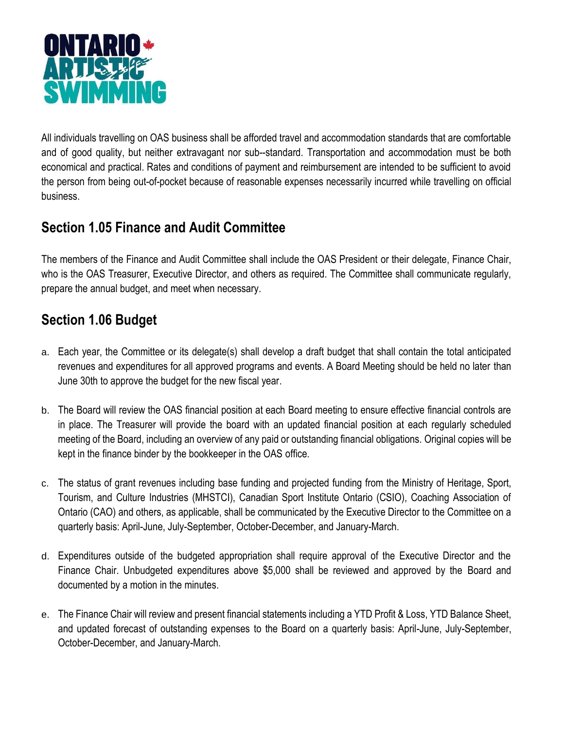

All individuals travelling on OAS business shall be afforded travel and accommodation standards that are comfortable and of good quality, but neither extravagant nor sub--standard. Transportation and accommodation must be both economical and practical. Rates and conditions of payment and reimbursement are intended to be sufficient to avoid the person from being out-of-pocket because of reasonable expenses necessarily incurred while travelling on official business.

### **Section 1.05 Finance and Audit Committee**

The members of the Finance and Audit Committee shall include the OAS President or their delegate, Finance Chair, who is the OAS Treasurer, Executive Director, and others as required. The Committee shall communicate regularly, prepare the annual budget, and meet when necessary.

# **Section 1.06 Budget**

- a. Each year, the Committee or its delegate(s) shall develop a draft budget that shall contain the total anticipated revenues and expenditures for all approved programs and events. A Board Meeting should be held no later than June 30th to approve the budget for the new fiscal year.
- b. The Board will review the OAS financial position at each Board meeting to ensure effective financial controls are in place. The Treasurer will provide the board with an updated financial position at each regularly scheduled meeting of the Board, including an overview of any paid or outstanding financial obligations. Original copies will be kept in the finance binder by the bookkeeper in the OAS office.
- c. The status of grant revenues including base funding and projected funding from the Ministry of Heritage, Sport, Tourism, and Culture Industries (MHSTCI), Canadian Sport Institute Ontario (CSIO), Coaching Association of Ontario (CAO) and others, as applicable, shall be communicated by the Executive Director to the Committee on a quarterly basis: April-June, July-September, October-December, and January-March.
- d. Expenditures outside of the budgeted appropriation shall require approval of the Executive Director and the Finance Chair. Unbudgeted expenditures above \$5,000 shall be reviewed and approved by the Board and documented by a motion in the minutes.
- e. The Finance Chair will review and present financial statements including a YTD Profit & Loss, YTD Balance Sheet, and updated forecast of outstanding expenses to the Board on a quarterly basis: April-June, July-September, October-December, and January-March.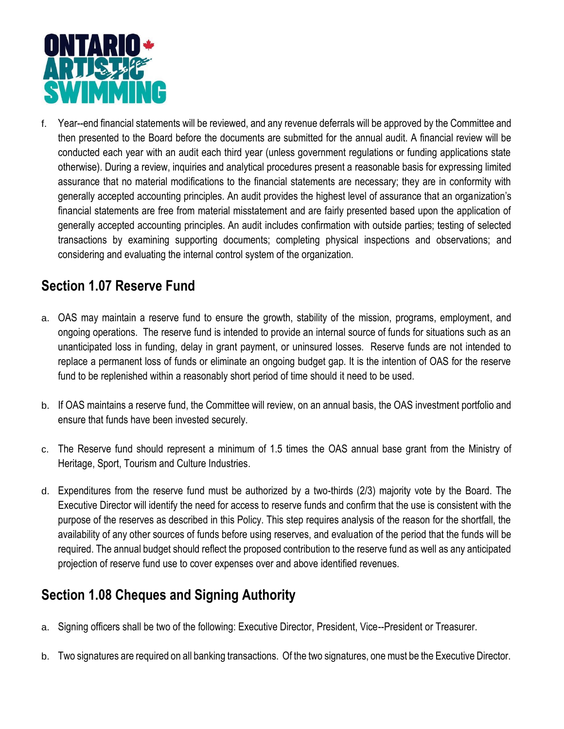

f. Year--end financial statements will be reviewed, and any revenue deferrals will be approved by the Committee and then presented to the Board before the documents are submitted for the annual audit. A financial review will be conducted each year with an audit each third year (unless government regulations or funding applications state otherwise). During a review, inquiries and analytical procedures present a reasonable basis for expressing limited assurance that no material modifications to the financial statements are necessary; they are in conformity with generally accepted accounting principles. An audit provides the highest level of assurance that an organization's financial statements are free from material misstatement and are fairly presented based upon the application of generally accepted accounting principles. An audit includes confirmation with outside parties; testing of selected transactions by examining supporting documents; completing physical inspections and observations; and considering and evaluating the internal control system of the organization.

#### **Section 1.07 Reserve Fund**

- a. OAS may maintain a reserve fund to ensure the growth, stability of the mission, programs, employment, and ongoing operations. The reserve fund is intended to provide an internal source of funds for situations such as an unanticipated loss in funding, delay in grant payment, or uninsured losses. Reserve funds are not intended to replace a permanent loss of funds or eliminate an ongoing budget gap. It is the intention of OAS for the reserve fund to be replenished within a reasonably short period of time should it need to be used.
- b. If OAS maintains a reserve fund, the Committee will review, on an annual basis, the OAS investment portfolio and ensure that funds have been invested securely.
- c. The Reserve fund should represent a minimum of 1.5 times the OAS annual base grant from the Ministry of Heritage, Sport, Tourism and Culture Industries.
- d. Expenditures from the reserve fund must be authorized by a two-thirds (2/3) majority vote by the Board. The Executive Director will identify the need for access to reserve funds and confirm that the use is consistent with the purpose of the reserves as described in this Policy. This step requires analysis of the reason for the shortfall, the availability of any other sources of funds before using reserves, and evaluation of the period that the funds will be required. The annual budget should reflect the proposed contribution to the reserve fund as well as any anticipated projection of reserve fund use to cover expenses over and above identified revenues.

#### **Section 1.08 Cheques and Signing Authority**

- a. Signing officers shall be two of the following: Executive Director, President, Vice--President or Treasurer.
- b. Two signatures are required on all banking transactions. Of the two signatures, one must be the Executive Director.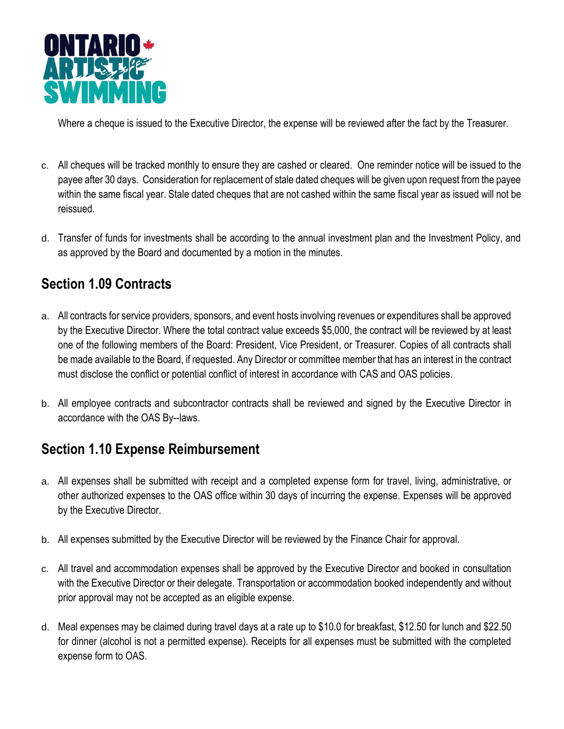

Where a cheque is issued to the Executive Director, the expense will be reviewed after the fact by the Treasurer.

- c. All cheques will be tracked monthly to ensure they are cashed or cleared. One reminder notice will be issued to the payee after 30 days. Consideration for replacement of stale dated cheques will be given upon request from the payee within the same fiscal year. Stale dated cheques that are not cashed within the same fiscal year as issued will not be reissued.
- d. Transfer of funds for investments shall be according to the annual investment plan and the Investment Policy, and as approved by the Board and documented by a motion in the minutes.

## **Section 1.09 Contracts**

- a. All contracts for service providers, sponsors, and event hosts involving revenues or expenditures shall be approved by the Executive Director. Where the total contract value exceeds \$5,000, the contract will be reviewed by at least one of the following members of the Board: President, Vice President, or Treasurer. Copies of all contracts shall be made available to the Board, if requested. Any Director or committee member that has an interest in the contract must disclose the conflict or potential conflict of interest in accordance with CAS and OAS policies.
- b. All employee contracts and subcontractor contracts shall be reviewed and signed by the Executive Director in accordance with the OAS By--laws.

## **Section 1.10 Expense Reimbursement**

- a. All expenses shall be submitted with receipt and a completed expense form for travel, living, administrative, or other authorized expenses to the OAS office within 30 days of incurring the expense. Expenses will be approved by the Executive Director.
- b. All expenses submitted by the Executive Director will be reviewed by the Finance Chair for approval.
- c. All travel and accommodation expenses shall be approved by the Executive Director and booked in consultation with the Executive Director or their delegate. Transportation or accommodation booked independently and without prior approval may not be accepted as an eligible expense.
- d. Meal expenses may be claimed during travel days at a rate up to \$10.0 for breakfast, \$12.50 for lunch and \$22.50 for dinner (alcohol is not a permitted expense). Receipts for all expenses must be submitted with the completed expense form to OAS.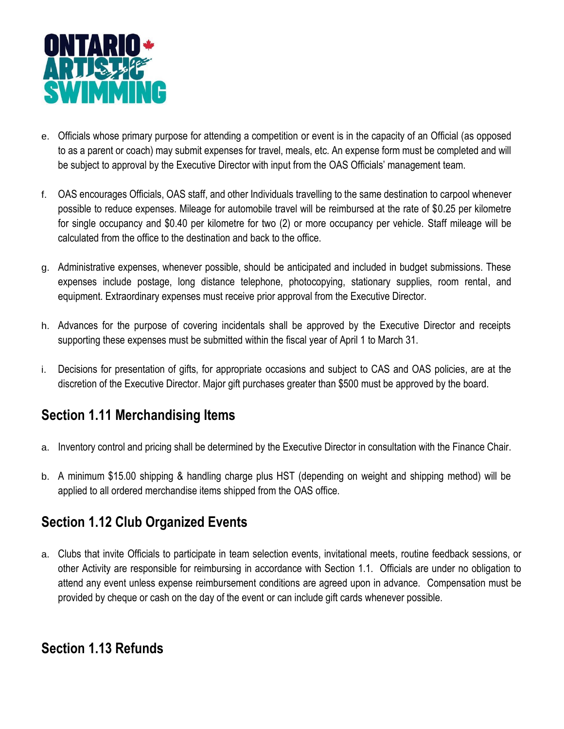

- e. Officials whose primary purpose for attending a competition or event is in the capacity of an Official (as opposed to as a parent or coach) may submit expenses for travel, meals, etc. An expense form must be completed and will be subject to approval by the Executive Director with input from the OAS Officials' management team.
- f. OAS encourages Officials, OAS staff, and other Individuals travelling to the same destination to carpool whenever possible to reduce expenses. Mileage for automobile travel will be reimbursed at the rate of \$0.25 per kilometre for single occupancy and \$0.40 per kilometre for two (2) or more occupancy per vehicle. Staff mileage will be calculated from the office to the destination and back to the office.
- g. Administrative expenses, whenever possible, should be anticipated and included in budget submissions. These expenses include postage, long distance telephone, photocopying, stationary supplies, room rental, and equipment. Extraordinary expenses must receive prior approval from the Executive Director.
- h. Advances for the purpose of covering incidentals shall be approved by the Executive Director and receipts supporting these expenses must be submitted within the fiscal year of April 1 to March 31.
- i. Decisions for presentation of gifts, for appropriate occasions and subject to CAS and OAS policies, are at the discretion of the Executive Director. Major gift purchases greater than \$500 must be approved by the board.

#### **Section 1.11 Merchandising Items**

- a. Inventory control and pricing shall be determined by the Executive Director in consultation with the Finance Chair.
- b. A minimum \$15.00 shipping & handling charge plus HST (depending on weight and shipping method) will be applied to all ordered merchandise items shipped from the OAS office.

#### **Section 1.12 Club Organized Events**

a. Clubs that invite Officials to participate in team selection events, invitational meets, routine feedback sessions, or other Activity are responsible for reimbursing in accordance with Section 1.1. Officials are under no obligation to attend any event unless expense reimbursement conditions are agreed upon in advance. Compensation must be provided by cheque or cash on the day of the event or can include gift cards whenever possible.

#### **Section 1.13 Refunds**